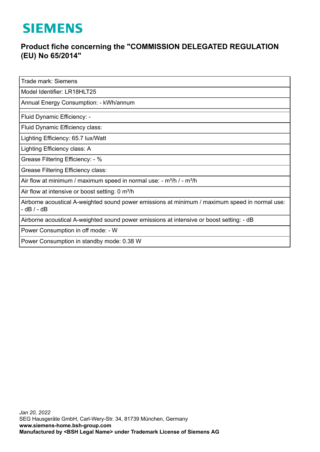## **SIEMENS**

## **Product fiche concerning the "COMMISSION DELEGATED REGULATION (EU) No 65/2014"**

Trade mark: Siemens

Model Identifier: LR18HLT25

Annual Energy Consumption: - kWh/annum

Fluid Dynamic Efficiency: -

Fluid Dynamic Efficiency class:

Lighting Efficiency: 65.7 lux/Watt

Lighting Efficiency class: A

Grease Filtering Efficiency: - %

Grease Filtering Efficiency class:

Air flow at minimum / maximum speed in normal use:  $-m^3/h$  / -  $m^3/h$ 

Air flow at intensive or boost setting: 0 m<sup>3</sup>/h

Airborne acoustical A-weighted sound power emissions at minimum / maximum speed in normal use: - dB / - dB

Airborne acoustical A-weighted sound power emissions at intensive or boost setting: - dB

Power Consumption in off mode: - W

Power Consumption in standby mode: 0.38 W